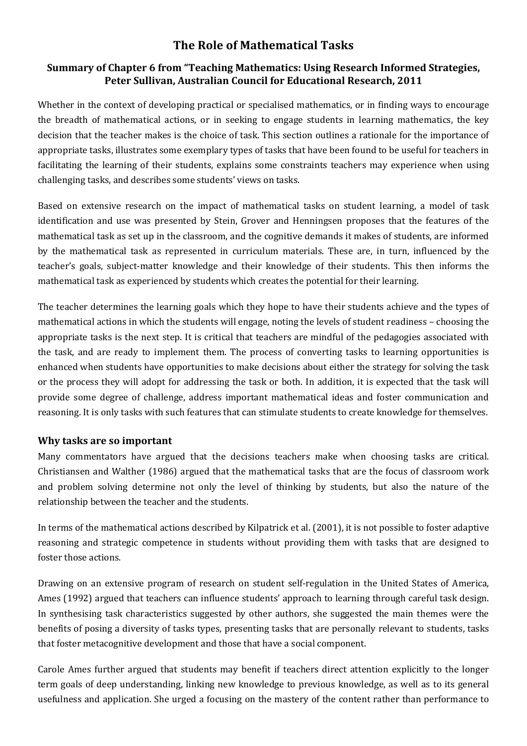# **The Role of Mathematical Tasks**

## **Summary of Chapter 6 from "Teaching Mathematics: Using Research Informed Strategies,** Peter Sullivan, Australian Council for Educational Research, 2011

Whether in the context of developing practical or specialised mathematics, or in finding ways to encourage the breadth of mathematical actions, or in seeking to engage students in learning mathematics, the key decision that the teacher makes is the choice of task. This section outlines a rationale for the importance of appropriate tasks, illustrates some exemplary types of tasks that have been found to be useful for teachers in facilitating the learning of their students, explains some constraints teachers may experience when using challenging tasks, and describes some students' views on tasks.

Based on extensive research on the impact of mathematical tasks on student learning, a model of task identification and use was presented by Stein, Grover and Henningsen proposes that the features of the mathematical task as set up in the classroom, and the cognitive demands it makes of students, are informed by the mathematical task as represented in curriculum materials. These are, in turn, influenced by the teacher's goals, subject-matter knowledge and their knowledge of their students. This then informs the mathematical task as experienced by students which creates the potential for their learning.

The teacher determines the learning goals which they hope to have their students achieve and the types of mathematical actions in which the students will engage, noting the levels of student readiness – choosing the appropriate tasks is the next step. It is critical that teachers are mindful of the pedagogies associated with the task, and are ready to implement them. The process of converting tasks to learning opportunities is enhanced when students have opportunities to make decisions about either the strategy for solving the task or the process they will adopt for addressing the task or both. In addition, it is expected that the task will provide some degree of challenge, address important mathematical ideas and foster communication and reasoning. It is only tasks with such features that can stimulate students to create knowledge for themselves.

## **Why tasks are so important**

Many commentators have argued that the decisions teachers make when choosing tasks are critical. Christiansen and Walther (1986) argued that the mathematical tasks that are the focus of classroom work and problem solving determine not only the level of thinking by students, but also the nature of the relationship between the teacher and the students.

In terms of the mathematical actions described by Kilpatrick et al. (2001), it is not possible to foster adaptive reasoning and strategic competence in students without providing them with tasks that are designed to foster those actions.

Drawing on an extensive program of research on student self-regulation in the United States of America, Ames (1992) argued that teachers can influence students' approach to learning through careful task design. In synthesising task characteristics suggested by other authors, she suggested the main themes were the benefits of posing a diversity of tasks types, presenting tasks that are personally relevant to students, tasks that foster metacognitive development and those that have a social component.

Carole Ames further argued that students may benefit if teachers direct attention explicitly to the longer term goals of deep understanding, linking new knowledge to previous knowledge, as well as to its general usefulness and application. She urged a focusing on the mastery of the content rather than performance to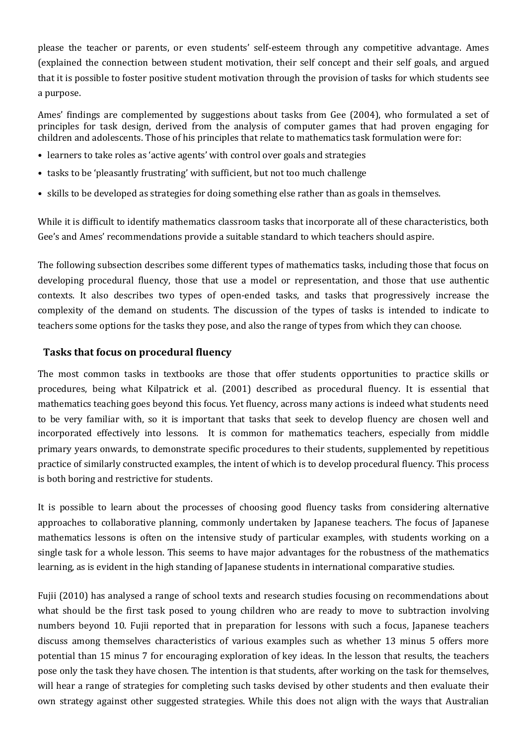please the teacher or parents, or even students' self-esteem through any competitive advantage. Ames (explained the connection between student motivation, their self concept and their self goals, and argued that it is possible to foster positive student motivation through the provision of tasks for which students see a purpose. 

Ames' findings are complemented by suggestions about tasks from Gee (2004), who formulated a set of principles for task design, derived from the analysis of computer games that had proven engaging for children and adolescents. Those of his principles that relate to mathematics task formulation were for:

- learners to take roles as 'active agents' with control over goals and strategies
- tasks to be 'pleasantly frustrating' with sufficient, but not too much challenge
- skills to be developed as strategies for doing something else rather than as goals in themselves.

While it is difficult to identify mathematics classroom tasks that incorporate all of these characteristics, both Gee's and Ames' recommendations provide a suitable standard to which teachers should aspire.

The following subsection describes some different types of mathematics tasks, including those that focus on developing procedural fluency, those that use a model or representation, and those that use authentic contexts. It also describes two types of open-ended tasks, and tasks that progressively increase the complexity of the demand on students. The discussion of the types of tasks is intended to indicate to teachers some options for the tasks they pose, and also the range of types from which they can choose.

#### **Tasks that focus on procedural fluency**

The most common tasks in textbooks are those that offer students opportunities to practice skills or procedures, being what Kilpatrick et al. (2001) described as procedural fluency. It is essential that mathematics teaching goes beyond this focus. Yet fluency, across many actions is indeed what students need to be very familiar with, so it is important that tasks that seek to develop fluency are chosen well and incorporated effectively into lessons. It is common for mathematics teachers, especially from middle primary years onwards, to demonstrate specific procedures to their students, supplemented by repetitious practice of similarly constructed examples, the intent of which is to develop procedural fluency. This process is both boring and restrictive for students.

It is possible to learn about the processes of choosing good fluency tasks from considering alternative approaches to collaborative planning, commonly undertaken by Japanese teachers. The focus of Japanese mathematics lessons is often on the intensive study of particular examples, with students working on a single task for a whole lesson. This seems to have major advantages for the robustness of the mathematics learning, as is evident in the high standing of Japanese students in international comparative studies.

Fujii (2010) has analysed a range of school texts and research studies focusing on recommendations about what should be the first task posed to young children who are ready to move to subtraction involving numbers beyond 10. Fujii reported that in preparation for lessons with such a focus, Japanese teachers discuss among themselves characteristics of various examples such as whether 13 minus 5 offers more potential than 15 minus 7 for encouraging exploration of key ideas. In the lesson that results, the teachers pose only the task they have chosen. The intention is that students, after working on the task for themselves, will hear a range of strategies for completing such tasks devised by other students and then evaluate their own strategy against other suggested strategies. While this does not align with the ways that Australian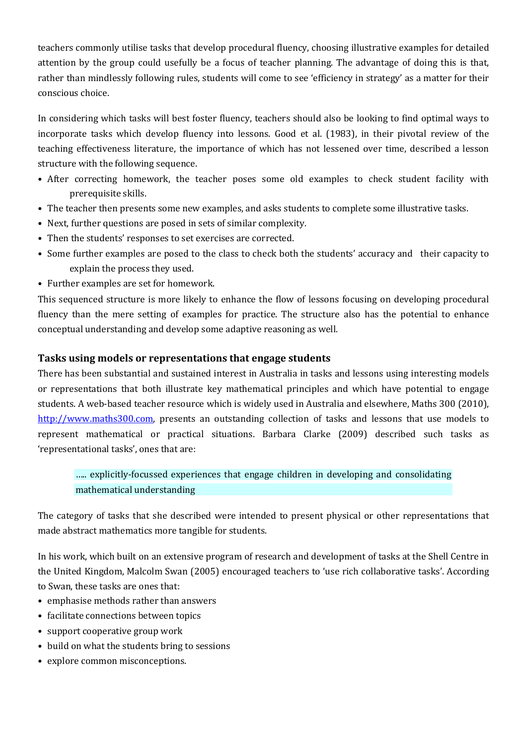teachers commonly utilise tasks that develop procedural fluency, choosing illustrative examples for detailed attention by the group could usefully be a focus of teacher planning. The advantage of doing this is that, rather than mindlessly following rules, students will come to see 'efficiency in strategy' as a matter for their conscious choice.

In considering which tasks will best foster fluency, teachers should also be looking to find optimal ways to incorporate tasks which develop fluency into lessons. Good et al. (1983), in their pivotal review of the teaching effectiveness literature, the importance of which has not lessened over time, described a lesson structure with the following sequence.

- After correcting homework, the teacher poses some old examples to check student facility with prerequisite skills.
- The teacher then presents some new examples, and asks students to complete some illustrative tasks.
- Next, further questions are posed in sets of similar complexity.
- Then the students' responses to set exercises are corrected.
- Some further examples are posed to the class to check both the students' accuracy and their capacity to explain the process they used.
- Further examples are set for homework.

This sequenced structure is more likely to enhance the flow of lessons focusing on developing procedural fluency than the mere setting of examples for practice. The structure also has the potential to enhance conceptual understanding and develop some adaptive reasoning as well.

### **Tasks using models or representations that engage students**

There has been substantial and sustained interest in Australia in tasks and lessons using interesting models or representations that both illustrate key mathematical principles and which have potential to engage students. A web-based teacher resource which is widely used in Australia and elsewhere, Maths 300 (2010), http://www.maths300.com, presents an outstanding collection of tasks and lessons that use models to represent mathematical or practical situations. Barbara Clarke (2009) described such tasks as 'representational tasks', ones that are:

# ..... explicitly-focussed experiences that engage children in developing and consolidating mathematical understanding

The category of tasks that she described were intended to present physical or other representations that made abstract mathematics more tangible for students.

In his work, which built on an extensive program of research and development of tasks at the Shell Centre in the United Kingdom, Malcolm Swan (2005) encouraged teachers to 'use rich collaborative tasks'. According to Swan, these tasks are ones that:

- emphasise methods rather than answers
- facilitate connections between topics
- support cooperative group work
- build on what the students bring to sessions
- explore common misconceptions.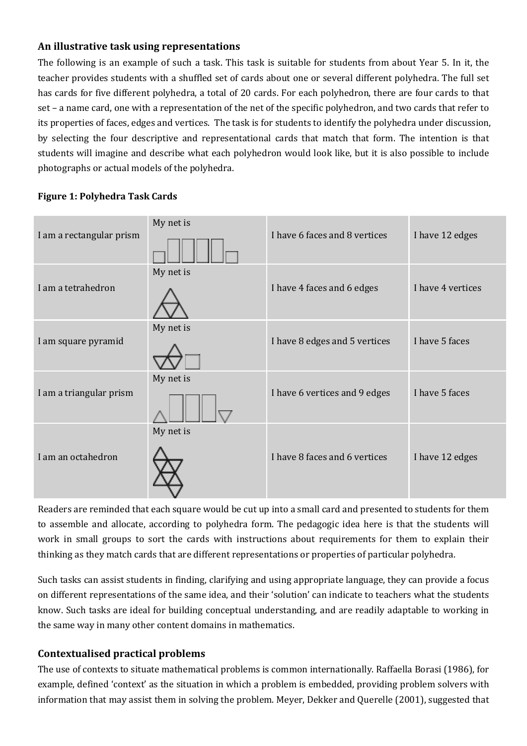## An illustrative task using representations

The following is an example of such a task. This task is suitable for students from about Year 5. In it, the teacher provides students with a shuffled set of cards about one or several different polyhedra. The full set has cards for five different polyhedra, a total of 20 cards. For each polyhedron, there are four cards to that set – a name card, one with a representation of the net of the specific polyhedron, and two cards that refer to its properties of faces, edges and vertices. The task is for students to identify the polyhedra under discussion, by selecting the four descriptive and representational cards that match that form. The intention is that students will imagine and describe what each polyhedron would look like, but it is also possible to include photographs or actual models of the polyhedra.

## **Figure 1: Polyhedra Task Cards**

| I am a rectangular prism | My net is | I have 6 faces and 8 vertices | I have 12 edges   |
|--------------------------|-----------|-------------------------------|-------------------|
| I am a tetrahedron       | My net is | I have 4 faces and 6 edges    | I have 4 vertices |
| I am square pyramid      | My net is | I have 8 edges and 5 vertices | I have 5 faces    |
| I am a triangular prism  | My net is | I have 6 vertices and 9 edges | I have 5 faces    |
| I am an octahedron       | My net is | I have 8 faces and 6 vertices | I have 12 edges   |

Readers are reminded that each square would be cut up into a small card and presented to students for them to assemble and allocate, according to polyhedra form. The pedagogic idea here is that the students will work in small groups to sort the cards with instructions about requirements for them to explain their thinking as they match cards that are different representations or properties of particular polyhedra.

Such tasks can assist students in finding, clarifying and using appropriate language, they can provide a focus on different representations of the same idea, and their 'solution' can indicate to teachers what the students know. Such tasks are ideal for building conceptual understanding, and are readily adaptable to working in the same way in many other content domains in mathematics.

## **Contextualised practical problems**

The use of contexts to situate mathematical problems is common internationally. Raffaella Borasi (1986), for example, defined 'context' as the situation in which a problem is embedded, providing problem solvers with information that may assist them in solving the problem. Meyer, Dekker and Querelle (2001), suggested that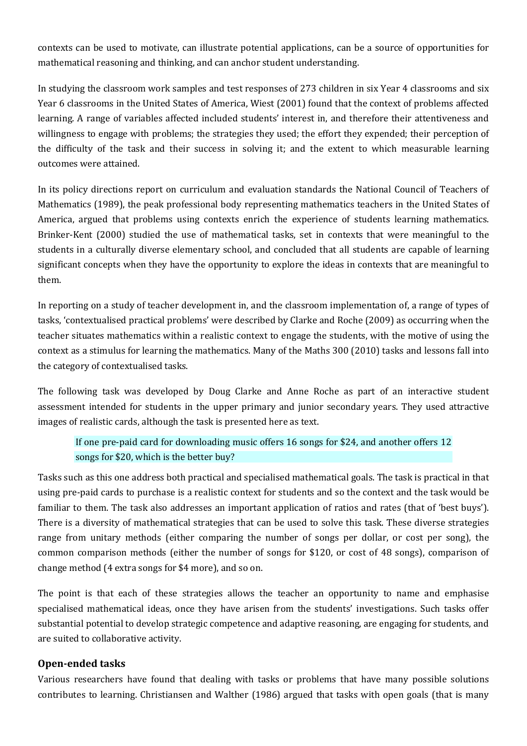contexts can be used to motivate, can illustrate potential applications, can be a source of opportunities for mathematical reasoning and thinking, and can anchor student understanding.

In studying the classroom work samples and test responses of 273 children in six Year 4 classrooms and six Year 6 classrooms in the United States of America, Wiest (2001) found that the context of problems affected learning. A range of variables affected included students' interest in, and therefore their attentiveness and willingness to engage with problems; the strategies they used; the effort they expended; their perception of the difficulty of the task and their success in solving it; and the extent to which measurable learning outcomes were attained. 

In its policy directions report on curriculum and evaluation standards the National Council of Teachers of Mathematics (1989), the peak professional body representing mathematics teachers in the United States of America, argued that problems using contexts enrich the experience of students learning mathematics. Brinker-Kent (2000) studied the use of mathematical tasks, set in contexts that were meaningful to the students in a culturally diverse elementary school, and concluded that all students are capable of learning significant concepts when they have the opportunity to explore the ideas in contexts that are meaningful to them. 

In reporting on a study of teacher development in, and the classroom implementation of, a range of types of tasks, 'contextualised practical problems' were described by Clarke and Roche (2009) as occurring when the teacher situates mathematics within a realistic context to engage the students, with the motive of using the context as a stimulus for learning the mathematics. Many of the Maths 300 (2010) tasks and lessons fall into the category of contextualised tasks.

The following task was developed by Doug Clarke and Anne Roche as part of an interactive student assessment intended for students in the upper primary and junior secondary years. They used attractive images of realistic cards, although the task is presented here as text.

# If one pre-paid card for downloading music offers  $16$  songs for \$24, and another offers  $12$ songs for \$20, which is the better buy?

Tasks such as this one address both practical and specialised mathematical goals. The task is practical in that using pre-paid cards to purchase is a realistic context for students and so the context and the task would be familiar to them. The task also addresses an important application of ratios and rates (that of 'best buys'). There is a diversity of mathematical strategies that can be used to solve this task. These diverse strategies range from unitary methods (either comparing the number of songs per dollar, or cost per song), the common comparison methods (either the number of songs for \$120, or cost of 48 songs), comparison of change method (4 extra songs for \$4 more), and so on.

The point is that each of these strategies allows the teacher an opportunity to name and emphasise specialised mathematical ideas, once they have arisen from the students' investigations. Such tasks offer substantial potential to develop strategic competence and adaptive reasoning, are engaging for students, and are suited to collaborative activity.

### **Open-ended tasks**

Various researchers have found that dealing with tasks or problems that have many possible solutions contributes to learning. Christiansen and Walther (1986) argued that tasks with open goals (that is many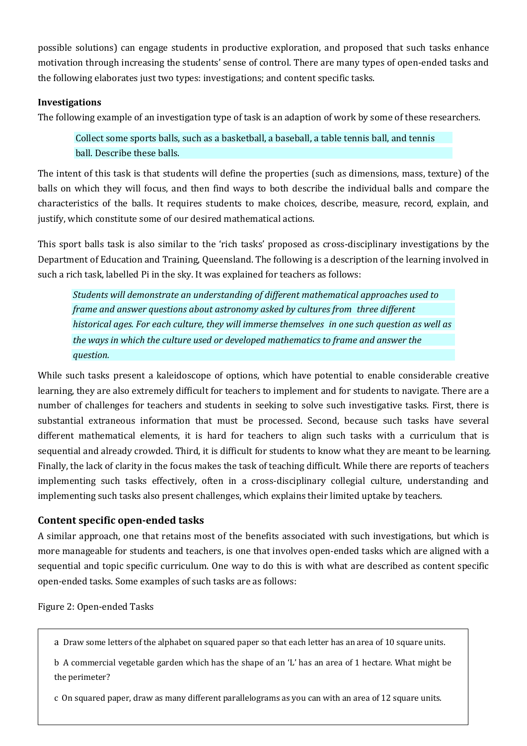possible solutions) can engage students in productive exploration, and proposed that such tasks enhance motivation through increasing the students' sense of control. There are many types of open-ended tasks and the following elaborates just two types: investigations; and content specific tasks.

### **Investigations**

The following example of an investigation type of task is an adaption of work by some of these researchers.

Collect some sports balls, such as a basketball, a baseball, a table tennis ball, and tennis hall. Describe these halls.

The intent of this task is that students will define the properties (such as dimensions, mass, texture) of the balls on which they will focus, and then find ways to both describe the individual balls and compare the characteristics of the balls. It requires students to make choices, describe, measure, record, explain, and justify, which constitute some of our desired mathematical actions.

This sport balls task is also similar to the 'rich tasks' proposed as cross-disciplinary investigations by the Department of Education and Training, Queensland. The following is a description of the learning involved in such a rich task, labelled Pi in the sky. It was explained for teachers as follows:

*Students will demonstrate an understanding of different mathematical approaches used to frame and answer questions about astronomy asked by cultures from three different historical ages. For each culture, they will immerse themselves in one such question as well as* the ways in which the culture used or developed mathematics to frame and answer the *question.* 

While such tasks present a kaleidoscope of options, which have potential to enable considerable creative learning, they are also extremely difficult for teachers to implement and for students to navigate. There are a number of challenges for teachers and students in seeking to solve such investigative tasks. First, there is substantial extraneous information that must be processed. Second, because such tasks have several different mathematical elements, it is hard for teachers to align such tasks with a curriculum that is sequential and already crowded. Third, it is difficult for students to know what they are meant to be learning. Finally, the lack of clarity in the focus makes the task of teaching difficult. While there are reports of teachers implementing such tasks effectively, often in a cross-disciplinary collegial culture, understanding and implementing such tasks also present challenges, which explains their limited uptake by teachers.

### **Content specific open-ended tasks**

A similar approach, one that retains most of the benefits associated with such investigations, but which is more manageable for students and teachers, is one that involves open-ended tasks which are aligned with a sequential and topic specific curriculum. One way to do this is with what are described as content specific open-ended tasks. Some examples of such tasks are as follows:

Figure 2: Open-ended Tasks

a Draw some letters of the alphabet on squared paper so that each letter has an area of 10 square units.

b A commercial vegetable garden which has the shape of an 'L' has an area of 1 hectare. What might be the perimeter?

c On squared paper, draw as many different parallelograms as you can with an area of 12 square units.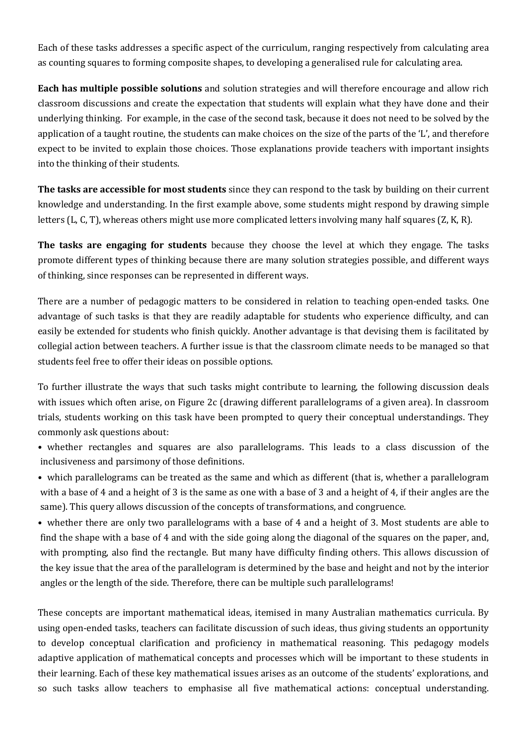Each of these tasks addresses a specific aspect of the curriculum, ranging respectively from calculating area as counting squares to forming composite shapes, to developing a generalised rule for calculating area.

**Each has multiple possible solutions** and solution strategies and will therefore encourage and allow rich classroom discussions and create the expectation that students will explain what they have done and their underlying thinking. For example, in the case of the second task, because it does not need to be solved by the application of a taught routine, the students can make choices on the size of the parts of the  $L'$ , and therefore expect to be invited to explain those choices. Those explanations provide teachers with important insights into the thinking of their students.

**The tasks are accessible for most students** since they can respond to the task by building on their current knowledge and understanding. In the first example above, some students might respond by drawing simple letters (L, C, T), whereas others might use more complicated letters involving many half squares (Z, K, R).

**The tasks are engaging for students** because they choose the level at which they engage. The tasks promote different types of thinking because there are many solution strategies possible, and different ways of thinking, since responses can be represented in different ways.

There are a number of pedagogic matters to be considered in relation to teaching open-ended tasks. One advantage of such tasks is that they are readily adaptable for students who experience difficulty, and can easily be extended for students who finish quickly. Another advantage is that devising them is facilitated by collegial action between teachers. A further issue is that the classroom climate needs to be managed so that students feel free to offer their ideas on possible options.

To further illustrate the ways that such tasks might contribute to learning, the following discussion deals with issues which often arise, on Figure 2c (drawing different parallelograms of a given area). In classroom trials, students working on this task have been prompted to query their conceptual understandings. They commonly ask questions about:

- whether rectangles and squares are also parallelograms. This leads to a class discussion of the inclusiveness and parsimony of those definitions.
- which parallelograms can be treated as the same and which as different (that is, whether a parallelogram with a base of 4 and a height of 3 is the same as one with a base of 3 and a height of 4, if their angles are the same). This query allows discussion of the concepts of transformations, and congruence.

• whether there are only two parallelograms with a base of 4 and a height of 3. Most students are able to find the shape with a base of 4 and with the side going along the diagonal of the squares on the paper, and, with prompting, also find the rectangle. But many have difficulty finding others. This allows discussion of the key issue that the area of the parallelogram is determined by the base and height and not by the interior angles or the length of the side. Therefore, there can be multiple such parallelograms!

These concepts are important mathematical ideas, itemised in many Australian mathematics curricula. By using open-ended tasks, teachers can facilitate discussion of such ideas, thus giving students an opportunity to develop conceptual clarification and proficiency in mathematical reasoning. This pedagogy models adaptive application of mathematical concepts and processes which will be important to these students in their learning. Each of these key mathematical issues arises as an outcome of the students' explorations, and so such tasks allow teachers to emphasise all five mathematical actions: conceptual understanding.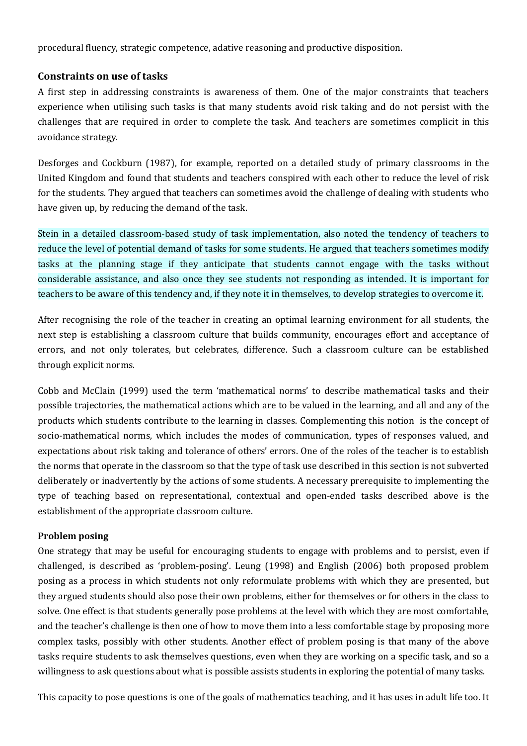procedural fluency, strategic competence, adative reasoning and productive disposition.

#### **Constraints on use of tasks**

A first step in addressing constraints is awareness of them. One of the major constraints that teachers experience when utilising such tasks is that many students avoid risk taking and do not persist with the challenges that are required in order to complete the task. And teachers are sometimes complicit in this avoidance strategy.

Desforges and Cockburn (1987), for example, reported on a detailed study of primary classrooms in the United Kingdom and found that students and teachers conspired with each other to reduce the level of risk for the students. They argued that teachers can sometimes avoid the challenge of dealing with students who have given up, by reducing the demand of the task.

Stein in a detailed classroom-based study of task implementation, also noted the tendency of teachers to reduce the level of potential demand of tasks for some students. He argued that teachers sometimes modify tasks at the planning stage if they anticipate that students cannot engage with the tasks without considerable assistance, and also once they see students not responding as intended. It is important for teachers to be aware of this tendency and, if they note it in themselves, to develop strategies to overcome it.

After recognising the role of the teacher in creating an optimal learning environment for all students, the next step is establishing a classroom culture that builds community, encourages effort and acceptance of errors, and not only tolerates, but celebrates, difference. Such a classroom culture can be established through explicit norms.

Cobb and McClain (1999) used the term 'mathematical norms' to describe mathematical tasks and their possible trajectories, the mathematical actions which are to be valued in the learning, and all and any of the products which students contribute to the learning in classes. Complementing this notion is the concept of socio-mathematical norms, which includes the modes of communication, types of responses valued, and expectations about risk taking and tolerance of others' errors. One of the roles of the teacher is to establish the norms that operate in the classroom so that the type of task use described in this section is not subverted deliberately or inadvertently by the actions of some students. A necessary prerequisite to implementing the type of teaching based on representational, contextual and open-ended tasks described above is the establishment of the appropriate classroom culture.

### **Problem** posing

One strategy that may be useful for encouraging students to engage with problems and to persist, even if challenged, is described as 'problem-posing'. Leung (1998) and English (2006) both proposed problem posing as a process in which students not only reformulate problems with which they are presented, but they argued students should also pose their own problems, either for themselves or for others in the class to solve. One effect is that students generally pose problems at the level with which they are most comfortable, and the teacher's challenge is then one of how to move them into a less comfortable stage by proposing more complex tasks, possibly with other students. Another effect of problem posing is that many of the above tasks require students to ask themselves questions, even when they are working on a specific task, and so a willingness to ask questions about what is possible assists students in exploring the potential of many tasks.

This capacity to pose questions is one of the goals of mathematics teaching, and it has uses in adult life too. It